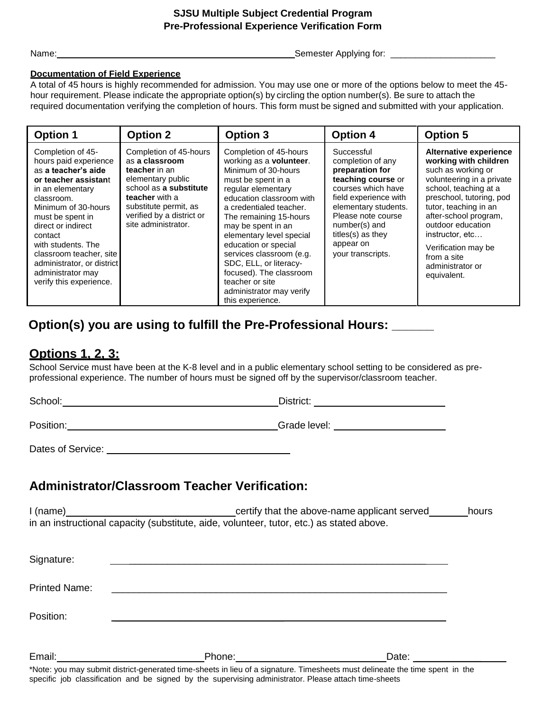#### **SJSU Multiple Subject Credential Program Pre-Professional Experience Verification Form**

Name: Semester Applying for: \_\_\_\_\_\_\_\_\_\_\_\_\_\_\_\_\_\_\_\_\_

#### **Documentation of Field Experience**

A total of 45 hours is highly recommended for admission. You may use one or more of the options below to meet the 45 hour requirement. Please indicate the appropriate option(s) by circling the option number(s). Be sure to attach the required documentation verifying the completion of hours. This form must be signed and submitted with your application.

| <b>Option 1</b>                                                                                                                                                                                                                                                                                                                        | <b>Option 2</b>                                                                                                                                                                                         | <b>Option 3</b>                                                                                                                                                                                                                                                                                                                                                                                                                             | <b>Option 4</b>                                                                                                                                                                                                                               | <b>Option 5</b>                                                                                                                                                                                                                                                                                                                   |
|----------------------------------------------------------------------------------------------------------------------------------------------------------------------------------------------------------------------------------------------------------------------------------------------------------------------------------------|---------------------------------------------------------------------------------------------------------------------------------------------------------------------------------------------------------|---------------------------------------------------------------------------------------------------------------------------------------------------------------------------------------------------------------------------------------------------------------------------------------------------------------------------------------------------------------------------------------------------------------------------------------------|-----------------------------------------------------------------------------------------------------------------------------------------------------------------------------------------------------------------------------------------------|-----------------------------------------------------------------------------------------------------------------------------------------------------------------------------------------------------------------------------------------------------------------------------------------------------------------------------------|
| Completion of 45-<br>hours paid experience<br>as a teacher's aide<br>or teacher assistant<br>in an elementary<br>classroom.<br>Minimum of 30-hours<br>must be spent in<br>direct or indirect<br>contact<br>with students. The<br>classroom teacher, site<br>administrator, or district<br>administrator may<br>verify this experience. | Completion of 45-hours<br>as a classroom<br>teacher in an<br>elementary public<br>school as a substitute<br>teacher with a<br>substitute permit, as<br>verified by a district or<br>site administrator. | Completion of 45-hours<br>working as a <b>volunteer</b> .<br>Minimum of 30-hours<br>must be spent in a<br>regular elementary<br>education classroom with<br>a credentialed teacher.<br>The remaining 15-hours<br>may be spent in an<br>elementary level special<br>education or special<br>services classroom (e.g.<br>SDC, ELL, or literacy-<br>focused). The classroom<br>teacher or site<br>administrator may verify<br>this experience. | Successful<br>completion of any<br>preparation for<br>teaching course or<br>courses which have<br>field experience with<br>elementary students.<br>Please note course<br>number(s) and<br>titles(s) as they<br>appear on<br>your transcripts. | <b>Alternative experience</b><br>working with children<br>such as working or<br>volunteering in a private<br>school, teaching at a<br>preschool, tutoring, pod<br>tutor, teaching in an<br>after-school program,<br>outdoor education<br>instructor, etc<br>Verification may be<br>from a site<br>administrator or<br>equivalent. |

# **Option(s) you are using to fulfill the Pre-Professional Hours: \_\_\_\_\_\_**

### **Options 1, 2, 3:**

School Service must have been at the K-8 level and in a public elementary school setting to be considered as preprofessional experience. The number of hours must be signed off by the supervisor/classroom teacher.

| School:   | District:    |
|-----------|--------------|
| Position: | Grade level: |

| Dates of Service: |  |
|-------------------|--|
|                   |  |

## **Administrator/Classroom Teacher Verification:**

I (name) certify that the above-name applicant served hours in an instructional capacity (substitute, aide, volunteer, tutor, etc.) as stated above.

| Signature:           |                                                                                                                                                                                                                                          |       |
|----------------------|------------------------------------------------------------------------------------------------------------------------------------------------------------------------------------------------------------------------------------------|-------|
| <b>Printed Name:</b> |                                                                                                                                                                                                                                          |       |
| Position:            |                                                                                                                                                                                                                                          |       |
| Email:               | Phone:<br>*Nicker (1991) and included the concerned direct district to the concentration (There is a concerned distribution of the distribution of the distribution of the distribution of the distribution of the distribution of the d | Date: |

\*Note: you may submit district-generated time-sheets in lieu of a signature. Timesheets must delineate the time spent in the specific job classification and be signed by the supervising administrator. Please attach time-sheets